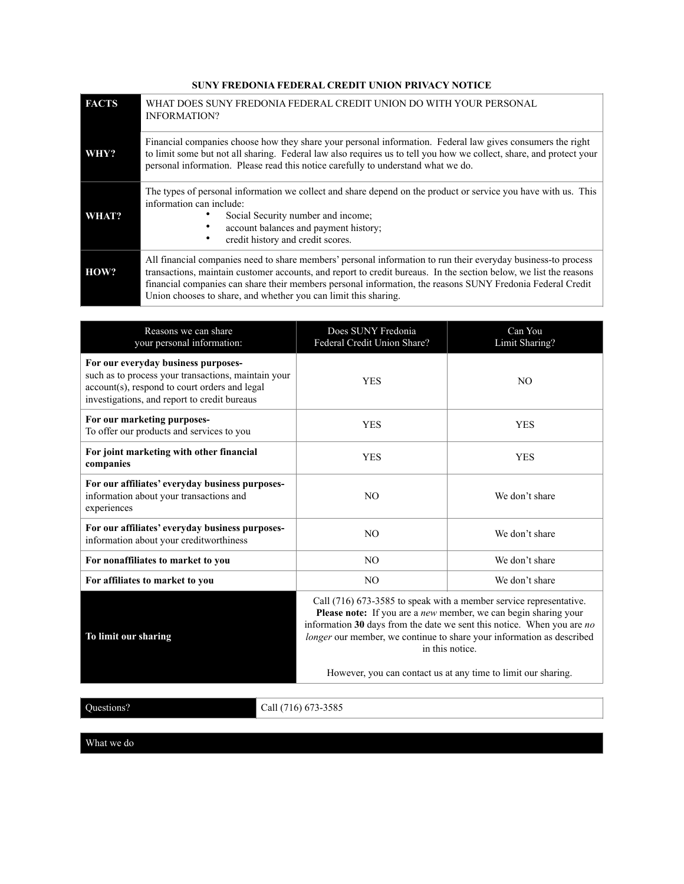## **SUNY FREDONIA FEDERAL CREDIT UNION PRIVACY NOTICE**

| <b>FACTS</b> | WHAT DOES SUNY FREDONIA FEDERAL CREDIT UNION DO WITH YOUR PERSONAL<br><b>INFORMATION?</b>                                                                                                                                                                                                                                                                                                                           |  |
|--------------|---------------------------------------------------------------------------------------------------------------------------------------------------------------------------------------------------------------------------------------------------------------------------------------------------------------------------------------------------------------------------------------------------------------------|--|
| WHY?         | Financial companies choose how they share your personal information. Federal law gives consumers the right<br>to limit some but not all sharing. Federal law also requires us to tell you how we collect, share, and protect your<br>personal information. Please read this notice carefully to understand what we do.                                                                                              |  |
| WHAT?        | The types of personal information we collect and share depend on the product or service you have with us. This<br>information can include:<br>Social Security number and income:<br>account balances and payment history;<br>credit history and credit scores.                                                                                                                                                      |  |
| HOW?         | All financial companies need to share members' personal information to run their everyday business-to process<br>transactions, maintain customer accounts, and report to credit bureaus. In the section below, we list the reasons<br>financial companies can share their members personal information, the reasons SUNY Fredonia Federal Credit<br>Union chooses to share, and whether you can limit this sharing. |  |

| Reasons we can share<br>your personal information:                                                                                                                                          | Does SUNY Fredonia<br>Federal Credit Union Share?                                                                                                                                                                                                                                                                                                                              | Can You<br>Limit Sharing? |  |
|---------------------------------------------------------------------------------------------------------------------------------------------------------------------------------------------|--------------------------------------------------------------------------------------------------------------------------------------------------------------------------------------------------------------------------------------------------------------------------------------------------------------------------------------------------------------------------------|---------------------------|--|
| For our everyday business purposes-<br>such as to process your transactions, maintain your<br>account(s), respond to court orders and legal<br>investigations, and report to credit bureaus | <b>YES</b>                                                                                                                                                                                                                                                                                                                                                                     | N <sub>O</sub>            |  |
| For our marketing purposes-<br>To offer our products and services to you                                                                                                                    | <b>YES</b>                                                                                                                                                                                                                                                                                                                                                                     | <b>YES</b>                |  |
| For joint marketing with other financial<br>companies                                                                                                                                       | <b>YES</b>                                                                                                                                                                                                                                                                                                                                                                     | <b>YES</b>                |  |
| For our affiliates' everyday business purposes-<br>information about your transactions and<br>experiences                                                                                   | NO.                                                                                                                                                                                                                                                                                                                                                                            | We don't share            |  |
| For our affiliates' everyday business purposes-<br>information about your creditworthiness                                                                                                  | N <sub>O</sub>                                                                                                                                                                                                                                                                                                                                                                 | We don't share            |  |
| For nonaffiliates to market to you                                                                                                                                                          | N <sub>O</sub>                                                                                                                                                                                                                                                                                                                                                                 | We don't share            |  |
| For affiliates to market to you                                                                                                                                                             | N <sub>O</sub>                                                                                                                                                                                                                                                                                                                                                                 | We don't share            |  |
| To limit our sharing                                                                                                                                                                        | Call (716) 673-3585 to speak with a member service representative.<br>Please note: If you are a new member, we can begin sharing your<br>information 30 days from the date we sent this notice. When you are $no$<br>longer our member, we continue to share your information as described<br>in this notice.<br>However, you can contact us at any time to limit our sharing. |                           |  |
|                                                                                                                                                                                             |                                                                                                                                                                                                                                                                                                                                                                                |                           |  |

Questions? Call (716) 673-3585

What we do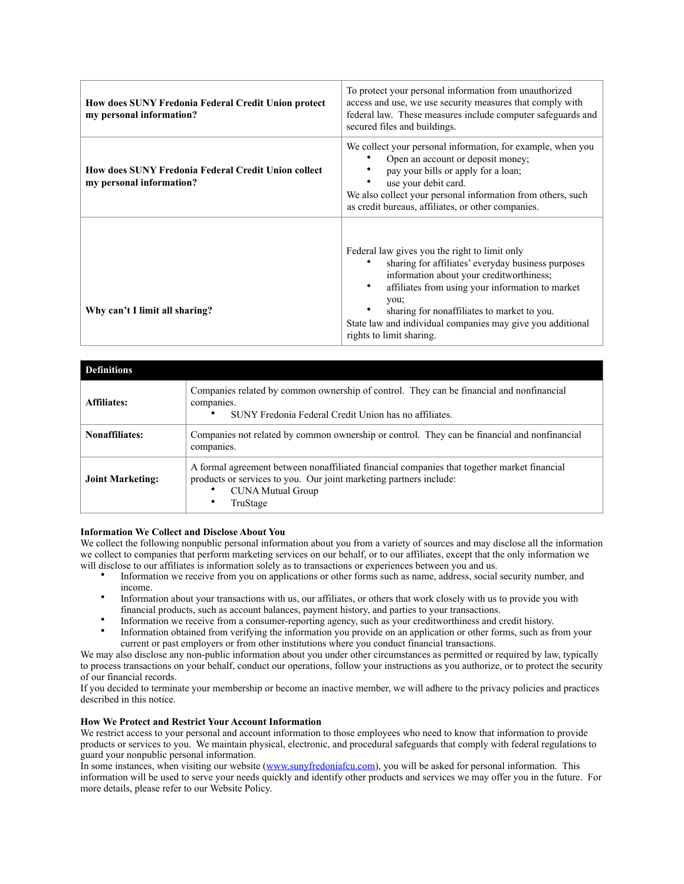| <b>How does SUNY Fredonia Federal Credit Union protect</b><br>my personal information? | To protect your personal information from unauthorized<br>access and use, we use security measures that comply with<br>federal law. These measures include computer safeguards and<br>secured files and buildings.                                                                                                                                                |
|----------------------------------------------------------------------------------------|-------------------------------------------------------------------------------------------------------------------------------------------------------------------------------------------------------------------------------------------------------------------------------------------------------------------------------------------------------------------|
| <b>How does SUNY Fredonia Federal Credit Union collect</b><br>my personal information? | We collect your personal information, for example, when you<br>Open an account or deposit money;<br>pay your bills or apply for a loan;<br>٠<br>use your debit card.<br>We also collect your personal information from others, such<br>as credit bureaus, affiliates, or other companies.                                                                         |
| Why can't I limit all sharing?                                                         | Federal law gives you the right to limit only<br>sharing for affiliates' everyday business purposes<br>information about your creditworthiness;<br>affiliates from using your information to market<br>$\bullet$<br>you:<br>sharing for nonaffiliates to market to you.<br>State law and individual companies may give you additional<br>rights to limit sharing. |

| <b>Definitions</b>      |                                                                                                                                                                                                           |  |  |  |
|-------------------------|-----------------------------------------------------------------------------------------------------------------------------------------------------------------------------------------------------------|--|--|--|
| Affiliates:             | Companies related by common ownership of control. They can be financial and nonfinancial<br>companies.<br>SUNY Fredonia Federal Credit Union has no affiliates.                                           |  |  |  |
| Nonaffiliates:          | Companies not related by common ownership or control. They can be financial and nonfinancial<br>companies.                                                                                                |  |  |  |
| <b>Joint Marketing:</b> | A formal agreement between nonaffiliated financial companies that together market financial<br>products or services to you. Our joint marketing partners include:<br><b>CUNA Mutual Group</b><br>TruStage |  |  |  |

## **Information We Collect and Disclose About You**

We collect the following nonpublic personal information about you from a variety of sources and may disclose all the information we collect to companies that perform marketing services on our behalf, or to our affiliates, except that the only information we will disclose to our affiliates is information solely as to transactions or experiences between you and us.

- Information we receive from you on applications or other forms such as name, address, social security number, and income.
- Information about your transactions with us, our affiliates, or others that work closely with us to provide you with financial products, such as account balances, payment history, and parties to your transactions.
- Information we receive from a consumer-reporting agency, such as your creditworthiness and credit history.
- Information obtained from verifying the information you provide on an application or other forms, such as from your current or past employers or from other institutions where you conduct financial transactions.

We may also disclose any non-public information about you under other circumstances as permitted or required by law, typically to process transactions on your behalf, conduct our operations, follow your instructions as you authorize, or to protect the security of our financial records.

If you decided to terminate your membership or become an inactive member, we will adhere to the privacy policies and practices described in this notice.

## **How We Protect and Restrict Your Account Information**

We restrict access to your personal and account information to those employees who need to know that information to provide products or services to you. We maintain physical, electronic, and procedural safeguards that comply with federal regulations to guard your nonpublic personal information.

In some instances, when visiting our website [\(www.sunyfredoniafcu.com\)](http://www.sunyfredoniafcu.com), you will be asked for personal information. This information will be used to serve your needs quickly and identify other products and services we may offer you in the future. For more details, please refer to our Website Policy.